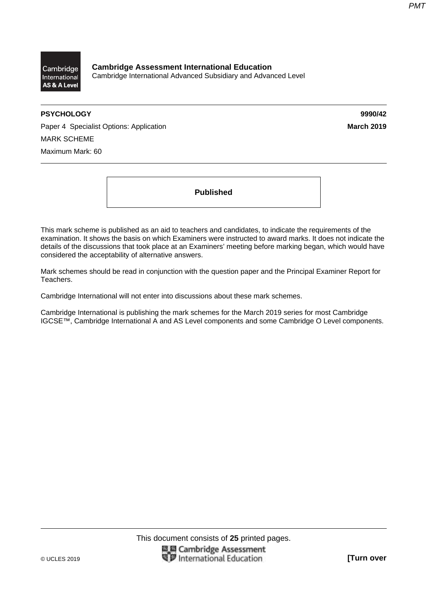

**Cambridge Assessment International Education**  Cambridge International Advanced Subsidiary and Advanced Level

# **PSYCHOLOGY 9990/42**

Paper 4 Specialist Options: Application **March 2019 March 2019** MARK SCHEME Maximum Mark: 60

**Published** 

This mark scheme is published as an aid to teachers and candidates, to indicate the requirements of the examination. It shows the basis on which Examiners were instructed to award marks. It does not indicate the details of the discussions that took place at an Examiners' meeting before marking began, which would have considered the acceptability of alternative answers.

Mark schemes should be read in conjunction with the question paper and the Principal Examiner Report for Teachers.

Cambridge International will not enter into discussions about these mark schemes.

Cambridge International is publishing the mark schemes for the March 2019 series for most Cambridge IGCSE™, Cambridge International A and AS Level components and some Cambridge O Level components.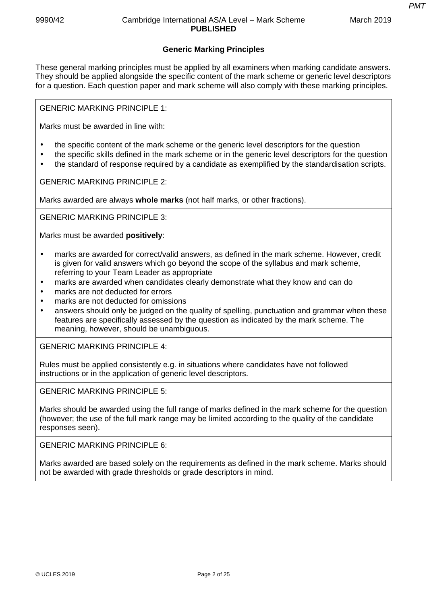*PMT*

# **Generic Marking Principles**

These general marking principles must be applied by all examiners when marking candidate answers. They should be applied alongside the specific content of the mark scheme or generic level descriptors for a question. Each question paper and mark scheme will also comply with these marking principles.

GENERIC MARKING PRINCIPLE 1:

Marks must be awarded in line with:

- the specific content of the mark scheme or the generic level descriptors for the question
- the specific skills defined in the mark scheme or in the generic level descriptors for the question
- the standard of response required by a candidate as exemplified by the standardisation scripts.

GENERIC MARKING PRINCIPLE 2:

Marks awarded are always **whole marks** (not half marks, or other fractions).

GENERIC MARKING PRINCIPLE 3:

Marks must be awarded **positively**:

- marks are awarded for correct/valid answers, as defined in the mark scheme. However, credit is given for valid answers which go beyond the scope of the syllabus and mark scheme, referring to your Team Leader as appropriate
- marks are awarded when candidates clearly demonstrate what they know and can do
- marks are not deducted for errors
- marks are not deducted for omissions
- answers should only be judged on the quality of spelling, punctuation and grammar when these features are specifically assessed by the question as indicated by the mark scheme. The meaning, however, should be unambiguous.

GENERIC MARKING PRINCIPLE 4:

Rules must be applied consistently e.g. in situations where candidates have not followed instructions or in the application of generic level descriptors.

GENERIC MARKING PRINCIPLE 5:

Marks should be awarded using the full range of marks defined in the mark scheme for the question (however; the use of the full mark range may be limited according to the quality of the candidate responses seen).

GENERIC MARKING PRINCIPLE 6:

Marks awarded are based solely on the requirements as defined in the mark scheme. Marks should not be awarded with grade thresholds or grade descriptors in mind.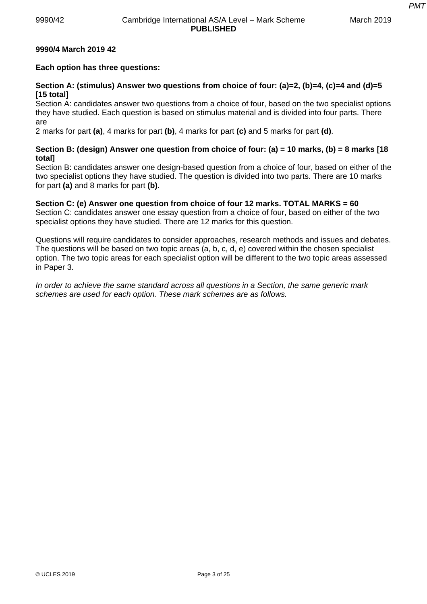*PMT*

# **9990/4 March 2019 42**

# **Each option has three questions:**

# **Section A: (stimulus) Answer two questions from choice of four: (a)=2, (b)=4, (c)=4 and (d)=5 [15 total]**

Section A: candidates answer two questions from a choice of four, based on the two specialist options they have studied. Each question is based on stimulus material and is divided into four parts. There are

2 marks for part **(a)**, 4 marks for part **(b)**, 4 marks for part **(c)** and 5 marks for part **(d)**.

# **Section B: (design) Answer one question from choice of four: (a) = 10 marks, (b) = 8 marks [18 total]**

Section B: candidates answer one design-based question from a choice of four, based on either of the two specialist options they have studied. The question is divided into two parts. There are 10 marks for part **(a)** and 8 marks for part **(b)**.

# **Section C: (e) Answer one question from choice of four 12 marks. TOTAL MARKS = 60**

Section C: candidates answer one essay question from a choice of four, based on either of the two specialist options they have studied. There are 12 marks for this question.

Questions will require candidates to consider approaches, research methods and issues and debates. The questions will be based on two topic areas (a, b, c, d, e) covered within the chosen specialist option. The two topic areas for each specialist option will be different to the two topic areas assessed in Paper 3.

*In order to achieve the same standard across all questions in a Section, the same generic mark schemes are used for each option. These mark schemes are as follows.*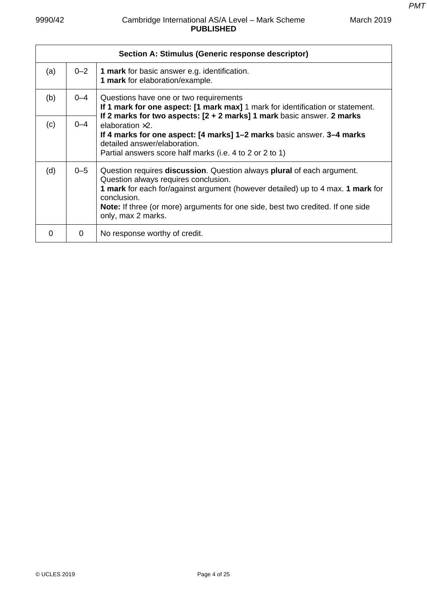|     |         | Section A: Stimulus (Generic response descriptor)                                                                                                                                                                                                                                                                                               |
|-----|---------|-------------------------------------------------------------------------------------------------------------------------------------------------------------------------------------------------------------------------------------------------------------------------------------------------------------------------------------------------|
| (a) | $0 - 2$ | <b>1 mark</b> for basic answer e.g. identification.<br>1 mark for elaboration/example.                                                                                                                                                                                                                                                          |
| (b) | $0 - 4$ | Questions have one or two requirements<br>If 1 mark for one aspect: [1 mark max] 1 mark for identification or statement.<br>If 2 marks for two aspects: [2 + 2 marks] 1 mark basic answer. 2 marks                                                                                                                                              |
| (c) | $0 - 4$ | elaboration $\times$ 2<br>If 4 marks for one aspect: [4 marks] 1–2 marks basic answer. 3–4 marks<br>detailed answer/elaboration.<br>Partial answers score half marks (i.e. 4 to 2 or 2 to 1)                                                                                                                                                    |
| (d) | $0 - 5$ | Question requires <b>discussion</b> . Question always <b>plural</b> of each argument.<br>Question always requires conclusion.<br>1 mark for each for/against argument (however detailed) up to 4 max. 1 mark for<br>conclusion.<br><b>Note:</b> If three (or more) arguments for one side, best two credited. If one side<br>only, max 2 marks. |
| 0   | 0       | No response worthy of credit.                                                                                                                                                                                                                                                                                                                   |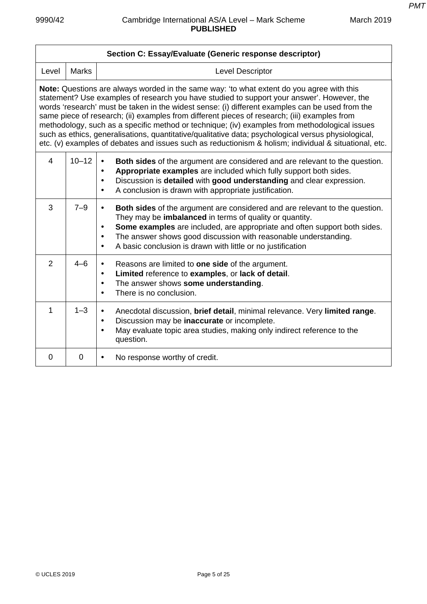|                                                                                                                                                                                                                                                                                                                                                                                                                                                                                                                                                                                                                                                                                                                    | Section C: Essay/Evaluate (Generic response descriptor) |                                                                                                                                                                                                                                                                                                                                                                                                                  |  |
|--------------------------------------------------------------------------------------------------------------------------------------------------------------------------------------------------------------------------------------------------------------------------------------------------------------------------------------------------------------------------------------------------------------------------------------------------------------------------------------------------------------------------------------------------------------------------------------------------------------------------------------------------------------------------------------------------------------------|---------------------------------------------------------|------------------------------------------------------------------------------------------------------------------------------------------------------------------------------------------------------------------------------------------------------------------------------------------------------------------------------------------------------------------------------------------------------------------|--|
| Level                                                                                                                                                                                                                                                                                                                                                                                                                                                                                                                                                                                                                                                                                                              | <b>Marks</b>                                            | <b>Level Descriptor</b>                                                                                                                                                                                                                                                                                                                                                                                          |  |
| <b>Note:</b> Questions are always worded in the same way: 'to what extent do you agree with this<br>statement? Use examples of research you have studied to support your answer'. However, the<br>words 'research' must be taken in the widest sense: (i) different examples can be used from the<br>same piece of research; (ii) examples from different pieces of research; (iii) examples from<br>methodology, such as a specific method or technique; (iv) examples from methodological issues<br>such as ethics, generalisations, quantitative/qualitative data; psychological versus physiological,<br>etc. (v) examples of debates and issues such as reductionism & holism; individual & situational, etc. |                                                         |                                                                                                                                                                                                                                                                                                                                                                                                                  |  |
| $\overline{4}$                                                                                                                                                                                                                                                                                                                                                                                                                                                                                                                                                                                                                                                                                                     | $10 - 12$                                               | Both sides of the argument are considered and are relevant to the question.<br>$\bullet$<br>Appropriate examples are included which fully support both sides.<br>$\bullet$<br>Discussion is detailed with good understanding and clear expression.<br>$\bullet$<br>A conclusion is drawn with appropriate justification.<br>$\bullet$                                                                            |  |
| 3                                                                                                                                                                                                                                                                                                                                                                                                                                                                                                                                                                                                                                                                                                                  | $7 - 9$                                                 | <b>Both sides</b> of the argument are considered and are relevant to the question.<br>$\bullet$<br>They may be imbalanced in terms of quality or quantity.<br>Some examples are included, are appropriate and often support both sides.<br>$\bullet$<br>The answer shows good discussion with reasonable understanding.<br>$\bullet$<br>A basic conclusion is drawn with little or no justification<br>$\bullet$ |  |
| $\overline{2}$                                                                                                                                                                                                                                                                                                                                                                                                                                                                                                                                                                                                                                                                                                     | $4 - 6$                                                 | Reasons are limited to <b>one side</b> of the argument.<br>$\bullet$<br>Limited reference to examples, or lack of detail.<br>$\bullet$<br>The answer shows some understanding.<br>$\bullet$<br>There is no conclusion.<br>$\bullet$                                                                                                                                                                              |  |
| 1                                                                                                                                                                                                                                                                                                                                                                                                                                                                                                                                                                                                                                                                                                                  | $1 - 3$                                                 | Anecdotal discussion, brief detail, minimal relevance. Very limited range.<br>$\bullet$<br>Discussion may be inaccurate or incomplete.<br>$\bullet$<br>May evaluate topic area studies, making only indirect reference to the<br>$\bullet$<br>question.                                                                                                                                                          |  |
| 0                                                                                                                                                                                                                                                                                                                                                                                                                                                                                                                                                                                                                                                                                                                  | $\mathbf 0$                                             | No response worthy of credit.<br>$\bullet$                                                                                                                                                                                                                                                                                                                                                                       |  |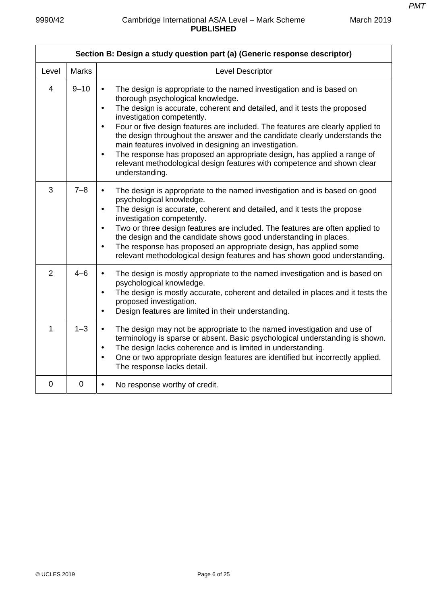*PMT*

| Section B: Design a study question part (a) (Generic response descriptor) |              |                                                                                                                                                                                                                                                                                                                                                                                                                                                                                                                                                                                                                                                                          |
|---------------------------------------------------------------------------|--------------|--------------------------------------------------------------------------------------------------------------------------------------------------------------------------------------------------------------------------------------------------------------------------------------------------------------------------------------------------------------------------------------------------------------------------------------------------------------------------------------------------------------------------------------------------------------------------------------------------------------------------------------------------------------------------|
| Level                                                                     | <b>Marks</b> | Level Descriptor                                                                                                                                                                                                                                                                                                                                                                                                                                                                                                                                                                                                                                                         |
| $\overline{4}$                                                            | $9 - 10$     | The design is appropriate to the named investigation and is based on<br>$\bullet$<br>thorough psychological knowledge.<br>The design is accurate, coherent and detailed, and it tests the proposed<br>$\bullet$<br>investigation competently.<br>Four or five design features are included. The features are clearly applied to<br>$\bullet$<br>the design throughout the answer and the candidate clearly understands the<br>main features involved in designing an investigation.<br>The response has proposed an appropriate design, has applied a range of<br>$\bullet$<br>relevant methodological design features with competence and shown clear<br>understanding. |
| 3                                                                         | $7 - 8$      | The design is appropriate to the named investigation and is based on good<br>$\bullet$<br>psychological knowledge.<br>The design is accurate, coherent and detailed, and it tests the propose<br>$\bullet$<br>investigation competently.<br>Two or three design features are included. The features are often applied to<br>$\bullet$<br>the design and the candidate shows good understanding in places.<br>The response has proposed an appropriate design, has applied some<br>$\bullet$<br>relevant methodological design features and has shown good understanding.                                                                                                 |
| $\overline{2}$                                                            | $4 - 6$      | The design is mostly appropriate to the named investigation and is based on<br>$\bullet$<br>psychological knowledge.<br>The design is mostly accurate, coherent and detailed in places and it tests the<br>$\bullet$<br>proposed investigation.<br>Design features are limited in their understanding.<br>$\bullet$                                                                                                                                                                                                                                                                                                                                                      |
| $\mathbf{1}$                                                              | $1 - 3$      | The design may not be appropriate to the named investigation and use of<br>$\bullet$<br>terminology is sparse or absent. Basic psychological understanding is shown.<br>The design lacks coherence and is limited in understanding.<br>$\bullet$<br>One or two appropriate design features are identified but incorrectly applied.<br>$\bullet$<br>The response lacks detail.                                                                                                                                                                                                                                                                                            |
| $\overline{0}$                                                            | $\mathbf 0$  | No response worthy of credit.<br>$\bullet$                                                                                                                                                                                                                                                                                                                                                                                                                                                                                                                                                                                                                               |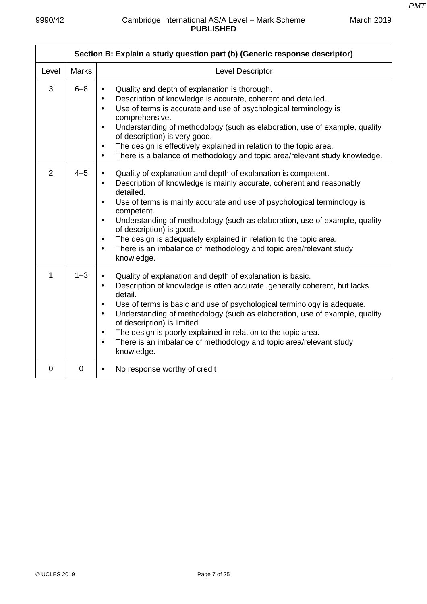*PMT*

|                | Section B: Explain a study question part (b) (Generic response descriptor) |                                                                                                                                                                                                                                                                                                                                                                                                                                                                                                                                                                                              |  |
|----------------|----------------------------------------------------------------------------|----------------------------------------------------------------------------------------------------------------------------------------------------------------------------------------------------------------------------------------------------------------------------------------------------------------------------------------------------------------------------------------------------------------------------------------------------------------------------------------------------------------------------------------------------------------------------------------------|--|
| Level          | <b>Marks</b>                                                               | Level Descriptor                                                                                                                                                                                                                                                                                                                                                                                                                                                                                                                                                                             |  |
| 3              | $6 - 8$                                                                    | Quality and depth of explanation is thorough.<br>$\bullet$<br>Description of knowledge is accurate, coherent and detailed.<br>$\bullet$<br>Use of terms is accurate and use of psychological terminology is<br>$\bullet$<br>comprehensive.<br>Understanding of methodology (such as elaboration, use of example, quality<br>$\bullet$<br>of description) is very good.<br>The design is effectively explained in relation to the topic area.<br>$\bullet$<br>There is a balance of methodology and topic area/relevant study knowledge.<br>$\bullet$                                         |  |
| $\overline{2}$ | $4 - 5$                                                                    | Quality of explanation and depth of explanation is competent.<br>$\bullet$<br>Description of knowledge is mainly accurate, coherent and reasonably<br>$\bullet$<br>detailed.<br>Use of terms is mainly accurate and use of psychological terminology is<br>$\bullet$<br>competent.<br>Understanding of methodology (such as elaboration, use of example, quality<br>$\bullet$<br>of description) is good.<br>The design is adequately explained in relation to the topic area.<br>$\bullet$<br>There is an imbalance of methodology and topic area/relevant study<br>$\bullet$<br>knowledge. |  |
| 1              | $1 - 3$                                                                    | Quality of explanation and depth of explanation is basic.<br>$\bullet$<br>Description of knowledge is often accurate, generally coherent, but lacks<br>$\bullet$<br>detail.<br>Use of terms is basic and use of psychological terminology is adequate.<br>$\bullet$<br>Understanding of methodology (such as elaboration, use of example, quality<br>$\bullet$<br>of description) is limited.<br>The design is poorly explained in relation to the topic area.<br>$\bullet$<br>There is an imbalance of methodology and topic area/relevant study<br>$\bullet$<br>knowledge.                 |  |
| 0              | 0                                                                          | No response worthy of credit<br>$\bullet$                                                                                                                                                                                                                                                                                                                                                                                                                                                                                                                                                    |  |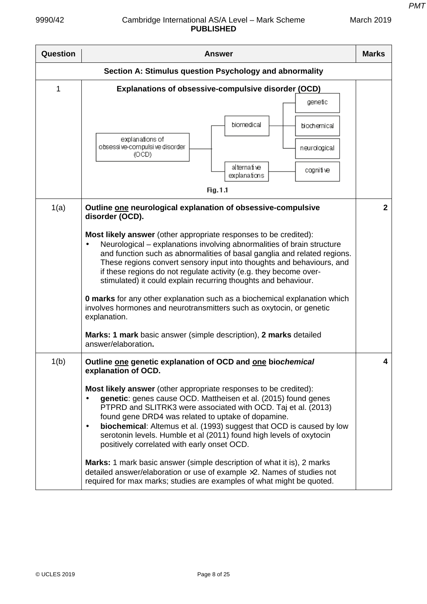| <b>Question</b> | <b>Answer</b>                                                                                                                                                                                                                                                                                                                                                                                                                                                                                                                                                                                                                                                                                                                                                                                                | <b>Marks</b> |
|-----------------|--------------------------------------------------------------------------------------------------------------------------------------------------------------------------------------------------------------------------------------------------------------------------------------------------------------------------------------------------------------------------------------------------------------------------------------------------------------------------------------------------------------------------------------------------------------------------------------------------------------------------------------------------------------------------------------------------------------------------------------------------------------------------------------------------------------|--------------|
|                 | Section A: Stimulus question Psychology and abnormality                                                                                                                                                                                                                                                                                                                                                                                                                                                                                                                                                                                                                                                                                                                                                      |              |
| 1               | Explanations of obsessive-compulsive disorder (OCD)<br>genetic<br>biomedical<br>biochemical<br>explanations of<br>obsessi ve-compulsi ve disorder<br>neurological<br>(OCD)<br>alternative<br>cognitive<br>explanations                                                                                                                                                                                                                                                                                                                                                                                                                                                                                                                                                                                       |              |
| 1(a)            | Fig.1.1<br>Outline one neurological explanation of obsessive-compulsive<br>disorder (OCD).<br>Most likely answer (other appropriate responses to be credited):<br>Neurological – explanations involving abnormalities of brain structure<br>and function such as abnormalities of basal ganglia and related regions.<br>These regions convert sensory input into thoughts and behaviours, and<br>if these regions do not regulate activity (e.g. they become over-<br>stimulated) it could explain recurring thoughts and behaviour.<br><b>0 marks</b> for any other explanation such as a biochemical explanation which<br>involves hormones and neurotransmitters such as oxytocin, or genetic<br>explanation.<br>Marks: 1 mark basic answer (simple description), 2 marks detailed<br>answer/elaboration. | $\mathbf{2}$ |
| 1(b)            | Outline one genetic explanation of OCD and one biochemical<br>explanation of OCD.<br>Most likely answer (other appropriate responses to be credited):<br>genetic: genes cause OCD. Mattheisen et al. (2015) found genes<br>PTPRD and SLITRK3 were associated with OCD. Taj et al. (2013)<br>found gene DRD4 was related to uptake of dopamine.<br><b>biochemical:</b> Altemus et al. (1993) suggest that OCD is caused by low<br>$\bullet$<br>serotonin levels. Humble et al (2011) found high levels of oxytocin<br>positively correlated with early onset OCD.<br><b>Marks:</b> 1 mark basic answer (simple description of what it is), 2 marks<br>detailed answer/elaboration or use of example ×2. Names of studies not<br>required for max marks; studies are examples of what might be quoted.         | 4            |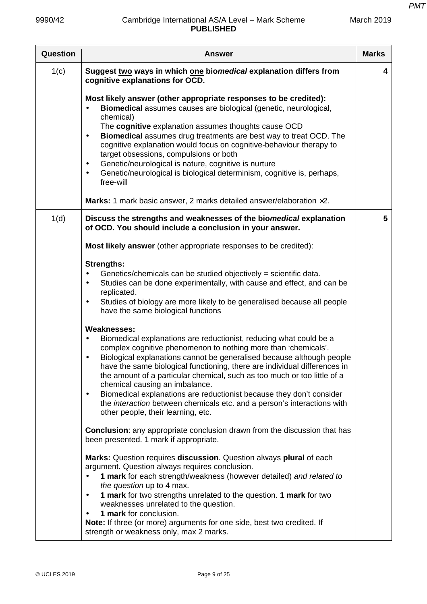| Question | <b>Answer</b>                                                                                                                                                                                                                                                                                                                                                                                                                                                                                                                                                                                                                                                                | <b>Marks</b> |
|----------|------------------------------------------------------------------------------------------------------------------------------------------------------------------------------------------------------------------------------------------------------------------------------------------------------------------------------------------------------------------------------------------------------------------------------------------------------------------------------------------------------------------------------------------------------------------------------------------------------------------------------------------------------------------------------|--------------|
| 1(c)     | Suggest two ways in which one biomedical explanation differs from<br>cognitive explanations for OCD.                                                                                                                                                                                                                                                                                                                                                                                                                                                                                                                                                                         | 4            |
|          | Most likely answer (other appropriate responses to be credited):<br>Biomedical assumes causes are biological (genetic, neurological,<br>chemical)<br>The cognitive explanation assumes thoughts cause OCD<br>Biomedical assumes drug treatments are best way to treat OCD. The<br>$\bullet$<br>cognitive explanation would focus on cognitive-behaviour therapy to<br>target obsessions, compulsions or both<br>Genetic/neurological is nature, cognitive is nurture<br>$\bullet$<br>Genetic/neurological is biological determinism, cognitive is, perhaps,<br>$\bullet$<br>free-will<br><b>Marks:</b> 1 mark basic answer, 2 marks detailed answer/elaboration $\times 2$ . |              |
| 1(d)     | Discuss the strengths and weaknesses of the biomedical explanation                                                                                                                                                                                                                                                                                                                                                                                                                                                                                                                                                                                                           | 5            |
|          | of OCD. You should include a conclusion in your answer.                                                                                                                                                                                                                                                                                                                                                                                                                                                                                                                                                                                                                      |              |
|          | Most likely answer (other appropriate responses to be credited):                                                                                                                                                                                                                                                                                                                                                                                                                                                                                                                                                                                                             |              |
|          | <b>Strengths:</b><br>Genetics/chemicals can be studied objectively = scientific data.<br>$\bullet$<br>Studies can be done experimentally, with cause and effect, and can be<br>$\bullet$<br>replicated.<br>Studies of biology are more likely to be generalised because all people<br>$\bullet$<br>have the same biological functions<br><b>Weaknesses:</b>                                                                                                                                                                                                                                                                                                                  |              |
|          | Biomedical explanations are reductionist, reducing what could be a<br>$\bullet$<br>complex cognitive phenomenon to nothing more than 'chemicals'.<br>Biological explanations cannot be generalised because although people<br>$\bullet$<br>have the same biological functioning, there are individual differences in<br>the amount of a particular chemical, such as too much or too little of a<br>chemical causing an imbalance.<br>Biomedical explanations are reductionist because they don't consider<br>$\bullet$<br>the <i>interaction</i> between chemicals etc. and a person's interactions with<br>other people, their learning, etc.                              |              |
|          | <b>Conclusion:</b> any appropriate conclusion drawn from the discussion that has<br>been presented. 1 mark if appropriate.                                                                                                                                                                                                                                                                                                                                                                                                                                                                                                                                                   |              |
|          | Marks: Question requires discussion. Question always plural of each<br>argument. Question always requires conclusion.<br>1 mark for each strength/weakness (however detailed) and related to<br>$\bullet$<br>the question up to 4 max.<br>1 mark for two strengths unrelated to the question. 1 mark for two<br>$\bullet$<br>weaknesses unrelated to the question.<br>1 mark for conclusion.<br>$\bullet$<br>Note: If three (or more) arguments for one side, best two credited. If<br>strength or weakness only, max 2 marks.                                                                                                                                               |              |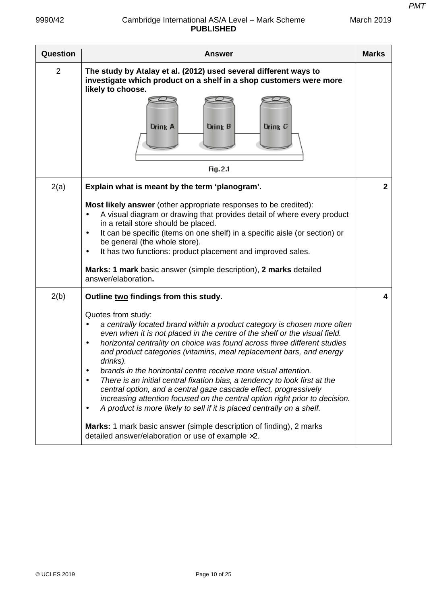| <b>PMT</b> |  |
|------------|--|
|            |  |

| Question       | Answer                                                                                                                                                                                                                                                                                                                                                                                                                                                                                                                                                                                                                                                                                                                                                                                                                                                                                                                                                 | <b>Marks</b> |
|----------------|--------------------------------------------------------------------------------------------------------------------------------------------------------------------------------------------------------------------------------------------------------------------------------------------------------------------------------------------------------------------------------------------------------------------------------------------------------------------------------------------------------------------------------------------------------------------------------------------------------------------------------------------------------------------------------------------------------------------------------------------------------------------------------------------------------------------------------------------------------------------------------------------------------------------------------------------------------|--------------|
| $\overline{2}$ | The study by Atalay et al. (2012) used several different ways to<br>investigate which product on a shelf in a shop customers were more<br>likely to choose.<br>Drink B<br>Drink C<br>Drink A<br>Fig. 2.1                                                                                                                                                                                                                                                                                                                                                                                                                                                                                                                                                                                                                                                                                                                                               |              |
| 2(a)           | Explain what is meant by the term 'planogram'.                                                                                                                                                                                                                                                                                                                                                                                                                                                                                                                                                                                                                                                                                                                                                                                                                                                                                                         | $\mathbf{2}$ |
|                | Most likely answer (other appropriate responses to be credited):<br>A visual diagram or drawing that provides detail of where every product<br>in a retail store should be placed.<br>It can be specific (items on one shelf) in a specific aisle (or section) or<br>$\bullet$<br>be general (the whole store).<br>It has two functions: product placement and improved sales.<br>$\bullet$<br>Marks: 1 mark basic answer (simple description), 2 marks detailed<br>answer/elaboration.                                                                                                                                                                                                                                                                                                                                                                                                                                                                |              |
| 2(b)           | Outline two findings from this study.<br>Quotes from study:<br>a centrally located brand within a product category is chosen more often<br>$\bullet$<br>even when it is not placed in the centre of the shelf or the visual field.<br>horizontal centrality on choice was found across three different studies<br>$\bullet$<br>and product categories (vitamins, meal replacement bars, and energy<br>drinks).<br>brands in the horizontal centre receive more visual attention.<br>$\bullet$<br>There is an initial central fixation bias, a tendency to look first at the<br>$\bullet$<br>central option, and a central gaze cascade effect, progressively<br>increasing attention focused on the central option right prior to decision.<br>A product is more likely to sell if it is placed centrally on a shelf.<br>٠<br>Marks: 1 mark basic answer (simple description of finding), 2 marks<br>detailed answer/elaboration or use of example ×2. | 4            |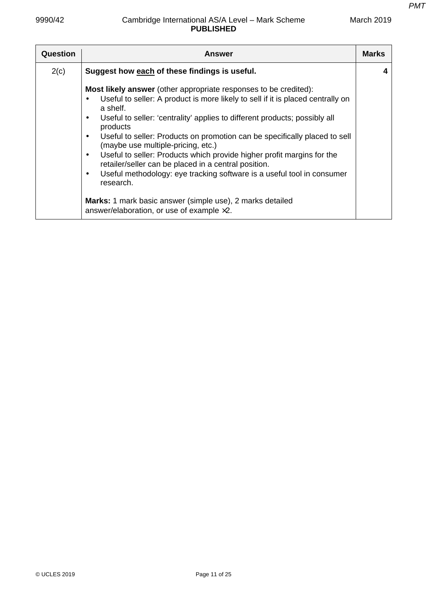| <b>Question</b> | <b>Answer</b>                                                                                                                                                                                                                                                                                                                                                                                                                                                                                                                                                                                                                                                                                                                    | <b>Marks</b> |
|-----------------|----------------------------------------------------------------------------------------------------------------------------------------------------------------------------------------------------------------------------------------------------------------------------------------------------------------------------------------------------------------------------------------------------------------------------------------------------------------------------------------------------------------------------------------------------------------------------------------------------------------------------------------------------------------------------------------------------------------------------------|--------------|
| 2(c)            | Suggest how each of these findings is useful.                                                                                                                                                                                                                                                                                                                                                                                                                                                                                                                                                                                                                                                                                    |              |
|                 | <b>Most likely answer</b> (other appropriate responses to be credited):<br>Useful to seller: A product is more likely to sell if it is placed centrally on<br>a shelf.<br>Useful to seller: 'centrality' applies to different products; possibly all<br>products<br>Useful to seller: Products on promotion can be specifically placed to sell<br>(maybe use multiple-pricing, etc.)<br>Useful to seller: Products which provide higher profit margins for the<br>retailer/seller can be placed in a central position.<br>Useful methodology: eye tracking software is a useful tool in consumer<br>research.<br>Marks: 1 mark basic answer (simple use), 2 marks detailed<br>answer/elaboration, or use of example $\times 2$ . |              |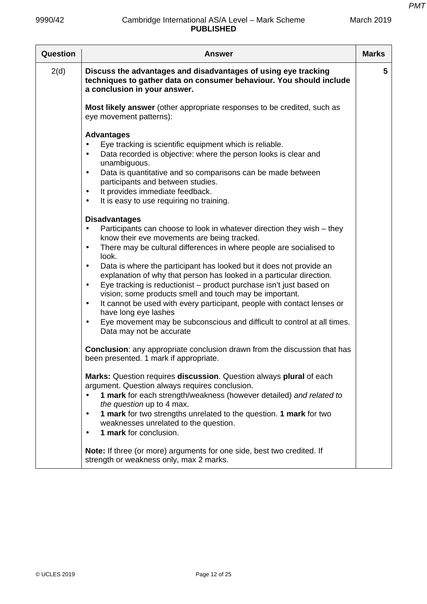| <b>Question</b> | <b>Answer</b>                                                                                                                                                                                                                                                                                                                                                                                                                                                                                                                                                                                                                                                                                                                                                                             | <b>Marks</b> |
|-----------------|-------------------------------------------------------------------------------------------------------------------------------------------------------------------------------------------------------------------------------------------------------------------------------------------------------------------------------------------------------------------------------------------------------------------------------------------------------------------------------------------------------------------------------------------------------------------------------------------------------------------------------------------------------------------------------------------------------------------------------------------------------------------------------------------|--------------|
| 2(d)            | Discuss the advantages and disadvantages of using eye tracking<br>techniques to gather data on consumer behaviour. You should include<br>a conclusion in your answer.                                                                                                                                                                                                                                                                                                                                                                                                                                                                                                                                                                                                                     | 5            |
|                 | Most likely answer (other appropriate responses to be credited, such as<br>eye movement patterns):                                                                                                                                                                                                                                                                                                                                                                                                                                                                                                                                                                                                                                                                                        |              |
|                 | <b>Advantages</b><br>Eye tracking is scientific equipment which is reliable.<br>Data recorded is objective: where the person looks is clear and<br>$\bullet$<br>unambiguous.<br>Data is quantitative and so comparisons can be made between<br>$\bullet$<br>participants and between studies.<br>It provides immediate feedback.<br>$\bullet$<br>It is easy to use requiring no training.<br>$\bullet$                                                                                                                                                                                                                                                                                                                                                                                    |              |
|                 | <b>Disadvantages</b><br>Participants can choose to look in whatever direction they wish – they<br>know their eve movements are being tracked.<br>There may be cultural differences in where people are socialised to<br>$\bullet$<br>look.<br>Data is where the participant has looked but it does not provide an<br>$\bullet$<br>explanation of why that person has looked in a particular direction.<br>Eye tracking is reductionist - product purchase isn't just based on<br>$\bullet$<br>vision; some products smell and touch may be important.<br>It cannot be used with every participant, people with contact lenses or<br>$\bullet$<br>have long eye lashes<br>Eye movement may be subconscious and difficult to control at all times.<br>$\bullet$<br>Data may not be accurate |              |
|                 | <b>Conclusion:</b> any appropriate conclusion drawn from the discussion that has<br>been presented. 1 mark if appropriate.                                                                                                                                                                                                                                                                                                                                                                                                                                                                                                                                                                                                                                                                |              |
|                 | Marks: Question requires discussion. Question always plural of each<br>argument. Question always requires conclusion.<br>1 mark for each strength/weakness (however detailed) and related to<br>the question up to 4 max.<br>1 mark for two strengths unrelated to the question. 1 mark for two<br>$\bullet$<br>weaknesses unrelated to the question.<br>1 mark for conclusion.                                                                                                                                                                                                                                                                                                                                                                                                           |              |
|                 | Note: If three (or more) arguments for one side, best two credited. If<br>strength or weakness only, max 2 marks.                                                                                                                                                                                                                                                                                                                                                                                                                                                                                                                                                                                                                                                                         |              |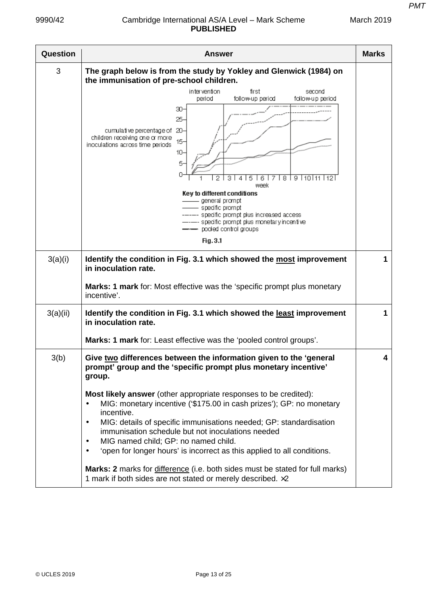| Question | <b>Answer</b>                                                                                                                                                                                                                                                                                                                                                                                                                                                                                                                                                                                                                                                                                                                                               | <b>Marks</b> |
|----------|-------------------------------------------------------------------------------------------------------------------------------------------------------------------------------------------------------------------------------------------------------------------------------------------------------------------------------------------------------------------------------------------------------------------------------------------------------------------------------------------------------------------------------------------------------------------------------------------------------------------------------------------------------------------------------------------------------------------------------------------------------------|--------------|
| 3        | The graph below is from the study by Yokley and Glenwick (1984) on<br>the immunisation of pre-school children.                                                                                                                                                                                                                                                                                                                                                                                                                                                                                                                                                                                                                                              |              |
|          | intervention<br>first<br>second<br>period<br>follow-up period<br>follow-up period<br>30-<br>25-<br>cumulative percentage of 20-<br>children receiving one or more<br>$15 -$<br>inoculations across time periods<br>$10-$<br>5.<br>8<br>9   10   11   12  <br>2<br>з<br>week<br>Key to different conditions<br>___ general prompt<br>– specific prompt<br>----- specific prompt plus increased access.<br>------ specific prompt plus monetary incentive.<br>-- pooled control groups<br>Fig. 3.1                                                                                                                                                                                                                                                            |              |
| 3(a)(i)  | Identify the condition in Fig. 3.1 which showed the most improvement<br>in inoculation rate.<br>Marks: 1 mark for: Most effective was the 'specific prompt plus monetary<br>incentive'.                                                                                                                                                                                                                                                                                                                                                                                                                                                                                                                                                                     | 1            |
| 3(a)(ii) | Identify the condition in Fig. 3.1 which showed the least improvement<br>in inoculation rate.<br>Marks: 1 mark for: Least effective was the 'pooled control groups'.                                                                                                                                                                                                                                                                                                                                                                                                                                                                                                                                                                                        | 1            |
| 3(b)     | Give two differences between the information given to the 'general<br>prompt' group and the 'specific prompt plus monetary incentive'<br>group.<br>Most likely answer (other appropriate responses to be credited):<br>MIG: monetary incentive ('\$175.00 in cash prizes'); GP: no monetary<br>$\bullet$<br>incentive.<br>MIG: details of specific immunisations needed; GP: standardisation<br>$\bullet$<br>immunisation schedule but not inoculations needed<br>MIG named child; GP: no named child.<br>$\bullet$<br>'open for longer hours' is incorrect as this applied to all conditions.<br>$\bullet$<br>Marks: 2 marks for difference (i.e. both sides must be stated for full marks)<br>1 mark if both sides are not stated or merely described. ×2 | 4            |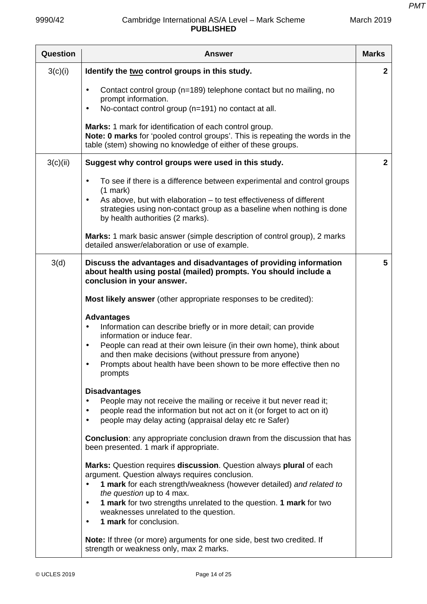| Question | <b>Answer</b>                                                                                                                                                                                                                                                                                                                                                                                | <b>Marks</b>   |
|----------|----------------------------------------------------------------------------------------------------------------------------------------------------------------------------------------------------------------------------------------------------------------------------------------------------------------------------------------------------------------------------------------------|----------------|
| 3(c)(i)  | Identify the two control groups in this study.                                                                                                                                                                                                                                                                                                                                               | $\overline{2}$ |
|          | Contact control group (n=189) telephone contact but no mailing, no<br>$\bullet$<br>prompt information.<br>No-contact control group (n=191) no contact at all.<br>$\bullet$                                                                                                                                                                                                                   |                |
|          | Marks: 1 mark for identification of each control group.<br>Note: 0 marks for 'pooled control groups'. This is repeating the words in the<br>table (stem) showing no knowledge of either of these groups.                                                                                                                                                                                     |                |
| 3(c)(ii) | Suggest why control groups were used in this study.                                                                                                                                                                                                                                                                                                                                          | $\overline{2}$ |
|          | To see if there is a difference between experimental and control groups<br>$\bullet$<br>$(1$ mark)<br>As above, but with elaboration – to test effectiveness of different                                                                                                                                                                                                                    |                |
|          | strategies using non-contact group as a baseline when nothing is done<br>by health authorities (2 marks).                                                                                                                                                                                                                                                                                    |                |
|          | Marks: 1 mark basic answer (simple description of control group), 2 marks<br>detailed answer/elaboration or use of example.                                                                                                                                                                                                                                                                  |                |
| 3(d)     | Discuss the advantages and disadvantages of providing information<br>about health using postal (mailed) prompts. You should include a<br>conclusion in your answer.                                                                                                                                                                                                                          | 5              |
|          | Most likely answer (other appropriate responses to be credited):                                                                                                                                                                                                                                                                                                                             |                |
|          | <b>Advantages</b><br>Information can describe briefly or in more detail; can provide<br>$\bullet$<br>information or induce fear.<br>People can read at their own leisure (in their own home), think about<br>$\bullet$<br>and then make decisions (without pressure from anyone)<br>Prompts about health have been shown to be more effective then no<br>prompts                             |                |
|          | <b>Disadvantages</b><br>People may not receive the mailing or receive it but never read it;<br>$\bullet$<br>people read the information but not act on it (or forget to act on it)<br>people may delay acting (appraisal delay etc re Safer)                                                                                                                                                 |                |
|          | <b>Conclusion:</b> any appropriate conclusion drawn from the discussion that has<br>been presented. 1 mark if appropriate.                                                                                                                                                                                                                                                                   |                |
|          | Marks: Question requires discussion. Question always plural of each<br>argument. Question always requires conclusion.<br>1 mark for each strength/weakness (however detailed) and related to<br>the question up to 4 max.<br>1 mark for two strengths unrelated to the question. 1 mark for two<br>$\bullet$<br>weaknesses unrelated to the question.<br>1 mark for conclusion.<br>$\bullet$ |                |
|          | Note: If three (or more) arguments for one side, best two credited. If<br>strength or weakness only, max 2 marks.                                                                                                                                                                                                                                                                            |                |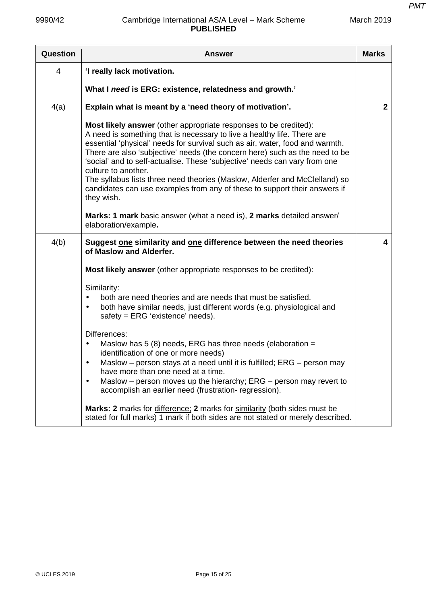| Question | Answer                                                                                                                                                                                                                                                                                                                                                                                                                                                                                                                                                                                    | <b>Marks</b> |
|----------|-------------------------------------------------------------------------------------------------------------------------------------------------------------------------------------------------------------------------------------------------------------------------------------------------------------------------------------------------------------------------------------------------------------------------------------------------------------------------------------------------------------------------------------------------------------------------------------------|--------------|
| 4        | 'I really lack motivation.                                                                                                                                                                                                                                                                                                                                                                                                                                                                                                                                                                |              |
|          | What I need is ERG: existence, relatedness and growth.'                                                                                                                                                                                                                                                                                                                                                                                                                                                                                                                                   |              |
| 4(a)     | Explain what is meant by a 'need theory of motivation'.                                                                                                                                                                                                                                                                                                                                                                                                                                                                                                                                   | $\mathbf{2}$ |
|          | Most likely answer (other appropriate responses to be credited):<br>A need is something that is necessary to live a healthy life. There are<br>essential 'physical' needs for survival such as air, water, food and warmth.<br>There are also 'subjective' needs (the concern here) such as the need to be<br>'social' and to self-actualise. These 'subjective' needs can vary from one<br>culture to another.<br>The syllabus lists three need theories (Maslow, Alderfer and McClelland) so<br>candidates can use examples from any of these to support their answers if<br>they wish. |              |
|          | Marks: 1 mark basic answer (what a need is), 2 marks detailed answer/<br>elaboration/example.                                                                                                                                                                                                                                                                                                                                                                                                                                                                                             |              |
| 4(b)     | Suggest one similarity and one difference between the need theories<br>of Maslow and Alderfer.                                                                                                                                                                                                                                                                                                                                                                                                                                                                                            | 4            |
|          | <b>Most likely answer</b> (other appropriate responses to be credited):                                                                                                                                                                                                                                                                                                                                                                                                                                                                                                                   |              |
|          | Similarity:<br>both are need theories and are needs that must be satisfied.<br>both have similar needs, just different words (e.g. physiological and<br>٠<br>safety = ERG 'existence' needs).                                                                                                                                                                                                                                                                                                                                                                                             |              |
|          | Differences:<br>Maslow has 5 (8) needs, ERG has three needs (elaboration $=$<br>$\bullet$<br>identification of one or more needs)<br>Maslow - person stays at a need until it is fulfilled; ERG - person may<br>٠<br>have more than one need at a time.<br>Maslow – person moves up the hierarchy; ERG – person may revert to<br>$\bullet$<br>accomplish an earlier need (frustration-regression).                                                                                                                                                                                        |              |
|          | <b>Marks: 2</b> marks for difference: 2 marks for similarity (both sides must be<br>stated for full marks) 1 mark if both sides are not stated or merely described.                                                                                                                                                                                                                                                                                                                                                                                                                       |              |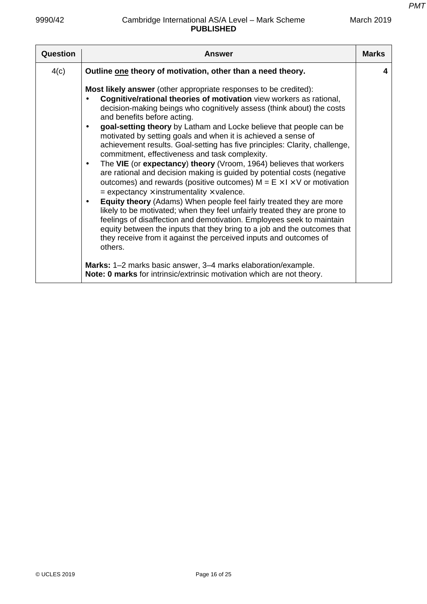| Question | Answer                                                                                                                                                                                                                                                                                                                                                                                                                                                                                                                                                                                                                                                                                                                                                                                                                                                                                                                                                                                                                                                                                                                                                                                                                                                                  | <b>Marks</b> |
|----------|-------------------------------------------------------------------------------------------------------------------------------------------------------------------------------------------------------------------------------------------------------------------------------------------------------------------------------------------------------------------------------------------------------------------------------------------------------------------------------------------------------------------------------------------------------------------------------------------------------------------------------------------------------------------------------------------------------------------------------------------------------------------------------------------------------------------------------------------------------------------------------------------------------------------------------------------------------------------------------------------------------------------------------------------------------------------------------------------------------------------------------------------------------------------------------------------------------------------------------------------------------------------------|--------------|
| 4(c)     | Outline one theory of motivation, other than a need theory.                                                                                                                                                                                                                                                                                                                                                                                                                                                                                                                                                                                                                                                                                                                                                                                                                                                                                                                                                                                                                                                                                                                                                                                                             | 4            |
|          | <b>Most likely answer</b> (other appropriate responses to be credited):<br>Cognitive/rational theories of motivation view workers as rational,<br>decision-making beings who cognitively assess (think about) the costs<br>and benefits before acting.<br>goal-setting theory by Latham and Locke believe that people can be<br>$\bullet$<br>motivated by setting goals and when it is achieved a sense of<br>achievement results. Goal-setting has five principles: Clarity, challenge,<br>commitment, effectiveness and task complexity.<br>The VIE (or expectancy) theory (Vroom, 1964) believes that workers<br>$\bullet$<br>are rational and decision making is guided by potential costs (negative<br>outcomes) and rewards (positive outcomes) $M = E \times I \times V$ or motivation<br>$=$ expectancy $\times$ instrumentality $\times$ valence.<br><b>Equity theory</b> (Adams) When people feel fairly treated they are more<br>$\bullet$<br>likely to be motivated; when they feel unfairly treated they are prone to<br>feelings of disaffection and demotivation. Employees seek to maintain<br>equity between the inputs that they bring to a job and the outcomes that<br>they receive from it against the perceived inputs and outcomes of<br>others. |              |
|          | Marks: 1-2 marks basic answer, 3-4 marks elaboration/example.<br>Note: 0 marks for intrinsic/extrinsic motivation which are not theory.                                                                                                                                                                                                                                                                                                                                                                                                                                                                                                                                                                                                                                                                                                                                                                                                                                                                                                                                                                                                                                                                                                                                 |              |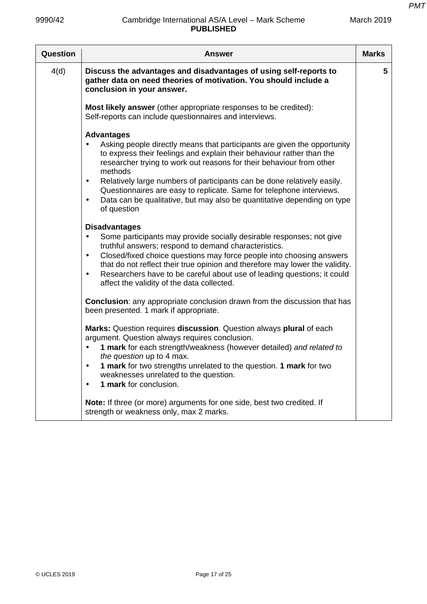| Question | <b>Answer</b>                                                                                                                                                                                                                                                                                                                                                                                                                                                                                                                    | <b>Marks</b> |
|----------|----------------------------------------------------------------------------------------------------------------------------------------------------------------------------------------------------------------------------------------------------------------------------------------------------------------------------------------------------------------------------------------------------------------------------------------------------------------------------------------------------------------------------------|--------------|
| 4(d)     | Discuss the advantages and disadvantages of using self-reports to<br>gather data on need theories of motivation. You should include a<br>conclusion in your answer.                                                                                                                                                                                                                                                                                                                                                              | 5            |
|          | Most likely answer (other appropriate responses to be credited):<br>Self-reports can include questionnaires and interviews.                                                                                                                                                                                                                                                                                                                                                                                                      |              |
|          | <b>Advantages</b><br>Asking people directly means that participants are given the opportunity<br>to express their feelings and explain their behaviour rather than the<br>researcher trying to work out reasons for their behaviour from other<br>methods<br>Relatively large numbers of participants can be done relatively easily.<br>$\bullet$<br>Questionnaires are easy to replicate. Same for telephone interviews.<br>Data can be qualitative, but may also be quantitative depending on type<br>$\bullet$<br>of question |              |
|          | <b>Disadvantages</b><br>Some participants may provide socially desirable responses; not give<br>truthful answers; respond to demand characteristics.<br>Closed/fixed choice questions may force people into choosing answers<br>$\bullet$<br>that do not reflect their true opinion and therefore may lower the validity.<br>Researchers have to be careful about use of leading questions; it could<br>$\bullet$<br>affect the validity of the data collected.                                                                  |              |
|          | <b>Conclusion:</b> any appropriate conclusion drawn from the discussion that has<br>been presented. 1 mark if appropriate.                                                                                                                                                                                                                                                                                                                                                                                                       |              |
|          | Marks: Question requires discussion. Question always plural of each<br>argument. Question always requires conclusion.<br>1 mark for each strength/weakness (however detailed) and related to<br>the question up to 4 max.<br>1 mark for two strengths unrelated to the question. 1 mark for two<br>weaknesses unrelated to the question.<br>1 mark for conclusion.                                                                                                                                                               |              |
|          | Note: If three (or more) arguments for one side, best two credited. If<br>strength or weakness only, max 2 marks.                                                                                                                                                                                                                                                                                                                                                                                                                |              |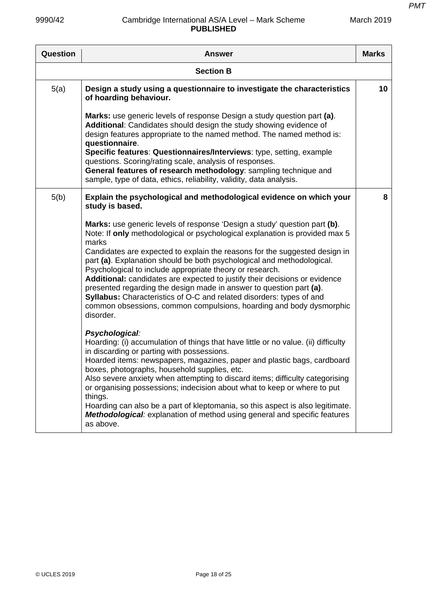| <b>Question</b> | <b>Answer</b>                                                                                                                                                                                                                                                                                                                                                                                                                                                                                                                                                                                                                                                                                          | <b>Marks</b> |
|-----------------|--------------------------------------------------------------------------------------------------------------------------------------------------------------------------------------------------------------------------------------------------------------------------------------------------------------------------------------------------------------------------------------------------------------------------------------------------------------------------------------------------------------------------------------------------------------------------------------------------------------------------------------------------------------------------------------------------------|--------------|
|                 | <b>Section B</b>                                                                                                                                                                                                                                                                                                                                                                                                                                                                                                                                                                                                                                                                                       |              |
| 5(a)            | Design a study using a questionnaire to investigate the characteristics<br>of hoarding behaviour.                                                                                                                                                                                                                                                                                                                                                                                                                                                                                                                                                                                                      | 10           |
|                 | Marks: use generic levels of response Design a study question part (a).<br>Additional: Candidates should design the study showing evidence of<br>design features appropriate to the named method. The named method is:<br>questionnaire.<br>Specific features: Questionnaires/Interviews: type, setting, example<br>questions. Scoring/rating scale, analysis of responses.<br>General features of research methodology: sampling technique and<br>sample, type of data, ethics, reliability, validity, data analysis.                                                                                                                                                                                 |              |
| 5(b)            | Explain the psychological and methodological evidence on which your<br>study is based.                                                                                                                                                                                                                                                                                                                                                                                                                                                                                                                                                                                                                 | 8            |
|                 | Marks: use generic levels of response 'Design a study' question part (b).<br>Note: If only methodological or psychological explanation is provided max 5<br>marks<br>Candidates are expected to explain the reasons for the suggested design in<br>part (a). Explanation should be both psychological and methodological.<br>Psychological to include appropriate theory or research.<br>Additional: candidates are expected to justify their decisions or evidence<br>presented regarding the design made in answer to question part (a).<br>Syllabus: Characteristics of O-C and related disorders: types of and<br>common obsessions, common compulsions, hoarding and body dysmorphic<br>disorder. |              |
|                 | Psychological:<br>Hoarding: (i) accumulation of things that have little or no value. (ii) difficulty<br>in discarding or parting with possessions.<br>Hoarded items: newspapers, magazines, paper and plastic bags, cardboard<br>boxes, photographs, household supplies, etc.<br>Also severe anxiety when attempting to discard items; difficulty categorising<br>or organising possessions; indecision about what to keep or where to put<br>things.<br>Hoarding can also be a part of kleptomania, so this aspect is also legitimate.<br><b>Methodological:</b> explanation of method using general and specific features<br>as above.                                                               |              |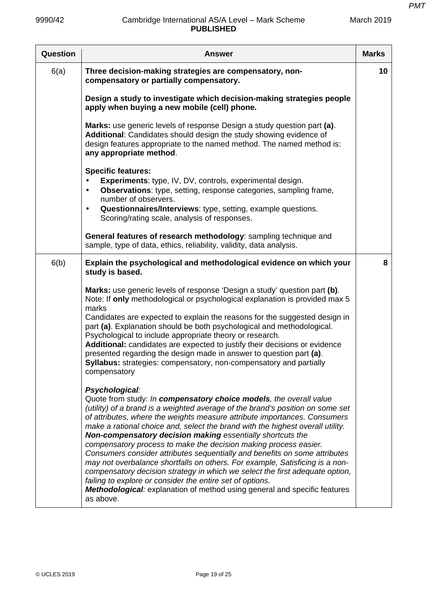| <b>Question</b> | <b>Answer</b>                                                                                                                                                                                                                                                                                                                                                                                                                                                                                                                                                                                                                                                                                                                                                                                                                                                                | <b>Marks</b>    |
|-----------------|------------------------------------------------------------------------------------------------------------------------------------------------------------------------------------------------------------------------------------------------------------------------------------------------------------------------------------------------------------------------------------------------------------------------------------------------------------------------------------------------------------------------------------------------------------------------------------------------------------------------------------------------------------------------------------------------------------------------------------------------------------------------------------------------------------------------------------------------------------------------------|-----------------|
| 6(a)            | Three decision-making strategies are compensatory, non-<br>compensatory or partially compensatory.                                                                                                                                                                                                                                                                                                                                                                                                                                                                                                                                                                                                                                                                                                                                                                           | 10 <sup>°</sup> |
|                 | Design a study to investigate which decision-making strategies people<br>apply when buying a new mobile (cell) phone.                                                                                                                                                                                                                                                                                                                                                                                                                                                                                                                                                                                                                                                                                                                                                        |                 |
|                 | Marks: use generic levels of response Design a study question part (a).<br>Additional: Candidates should design the study showing evidence of<br>design features appropriate to the named method. The named method is:<br>any appropriate method.                                                                                                                                                                                                                                                                                                                                                                                                                                                                                                                                                                                                                            |                 |
|                 | <b>Specific features:</b><br>Experiments: type, IV, DV, controls, experimental design.<br><b>Observations:</b> type, setting, response categories, sampling frame,<br>$\bullet$<br>number of observers.<br>Questionnaires/Interviews: type, setting, example questions.<br>$\bullet$<br>Scoring/rating scale, analysis of responses.                                                                                                                                                                                                                                                                                                                                                                                                                                                                                                                                         |                 |
|                 | General features of research methodology: sampling technique and<br>sample, type of data, ethics, reliability, validity, data analysis.                                                                                                                                                                                                                                                                                                                                                                                                                                                                                                                                                                                                                                                                                                                                      |                 |
| 6(b)            | Explain the psychological and methodological evidence on which your<br>study is based.<br>Marks: use generic levels of response 'Design a study' question part (b).                                                                                                                                                                                                                                                                                                                                                                                                                                                                                                                                                                                                                                                                                                          | 8               |
|                 | Note: If only methodological or psychological explanation is provided max 5<br>marks<br>Candidates are expected to explain the reasons for the suggested design in<br>part (a). Explanation should be both psychological and methodological.<br>Psychological to include appropriate theory or research.<br>Additional: candidates are expected to justify their decisions or evidence<br>presented regarding the design made in answer to question part (a).<br>Syllabus: strategies: compensatory, non-compensatory and partially<br>compensatory                                                                                                                                                                                                                                                                                                                          |                 |
|                 | Psychological:<br>Quote from study: In compensatory choice models, the overall value<br>(utility) of a brand is a weighted average of the brand's position on some set<br>of attributes, where the weights measure attribute importances. Consumers<br>make a rational choice and, select the brand with the highest overall utility.<br>Non-compensatory decision making essentially shortcuts the<br>compensatory process to make the decision making process easier.<br>Consumers consider attributes sequentially and benefits on some attributes<br>may not overbalance shortfalls on others. For example, Satisficing is a non-<br>compensatory decision strategy in which we select the first adequate option,<br>failing to explore or consider the entire set of options.<br>Methodological: explanation of method using general and specific features<br>as above. |                 |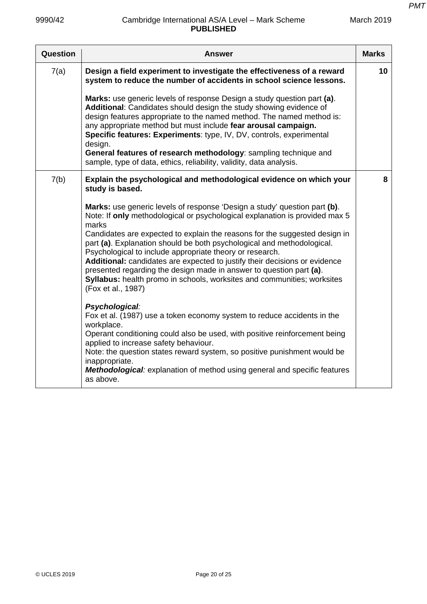| Question | Answer                                                                                                                                                                                                                                                                                                                                                                                                                                                                                                                                                                                                                                      | <b>Marks</b> |
|----------|---------------------------------------------------------------------------------------------------------------------------------------------------------------------------------------------------------------------------------------------------------------------------------------------------------------------------------------------------------------------------------------------------------------------------------------------------------------------------------------------------------------------------------------------------------------------------------------------------------------------------------------------|--------------|
| 7(a)     | Design a field experiment to investigate the effectiveness of a reward<br>system to reduce the number of accidents in school science lessons.                                                                                                                                                                                                                                                                                                                                                                                                                                                                                               | 10           |
|          | Marks: use generic levels of response Design a study question part (a).<br>Additional: Candidates should design the study showing evidence of<br>design features appropriate to the named method. The named method is:<br>any appropriate method but must include fear arousal campaign.<br>Specific features: Experiments: type, IV, DV, controls, experimental<br>design.<br>General features of research methodology: sampling technique and<br>sample, type of data, ethics, reliability, validity, data analysis.                                                                                                                      |              |
| 7(b)     | Explain the psychological and methodological evidence on which your<br>study is based.                                                                                                                                                                                                                                                                                                                                                                                                                                                                                                                                                      | 8            |
|          | Marks: use generic levels of response 'Design a study' question part (b).<br>Note: If only methodological or psychological explanation is provided max 5<br>marks<br>Candidates are expected to explain the reasons for the suggested design in<br>part (a). Explanation should be both psychological and methodological.<br>Psychological to include appropriate theory or research.<br>Additional: candidates are expected to justify their decisions or evidence<br>presented regarding the design made in answer to question part (a).<br>Syllabus: health promo in schools, worksites and communities; worksites<br>(Fox et al., 1987) |              |
|          | Psychological:<br>Fox et al. (1987) use a token economy system to reduce accidents in the<br>workplace.<br>Operant conditioning could also be used, with positive reinforcement being<br>applied to increase safety behaviour.<br>Note: the question states reward system, so positive punishment would be<br>inappropriate.<br><b>Methodological:</b> explanation of method using general and specific features<br>as above.                                                                                                                                                                                                               |              |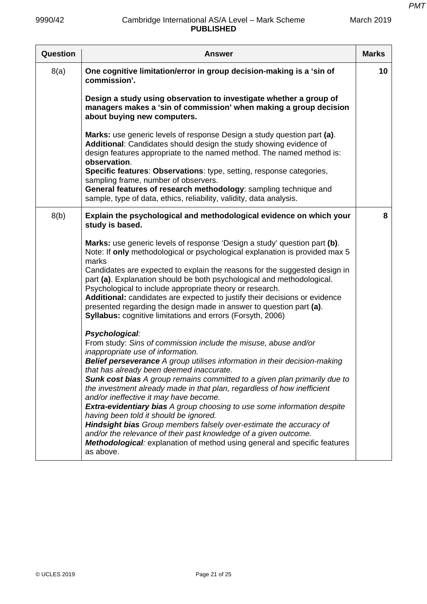| Question | <b>Answer</b>                                                                                                                                                                                                                                                                                                                                                                                                                                                                                                                                                                                                                                                                                                                                                                                                                                                                                                                                                                                                                                                                                                                                                                                                                                                                                                                                                                                                                                                                                                                                | <b>Marks</b> |
|----------|----------------------------------------------------------------------------------------------------------------------------------------------------------------------------------------------------------------------------------------------------------------------------------------------------------------------------------------------------------------------------------------------------------------------------------------------------------------------------------------------------------------------------------------------------------------------------------------------------------------------------------------------------------------------------------------------------------------------------------------------------------------------------------------------------------------------------------------------------------------------------------------------------------------------------------------------------------------------------------------------------------------------------------------------------------------------------------------------------------------------------------------------------------------------------------------------------------------------------------------------------------------------------------------------------------------------------------------------------------------------------------------------------------------------------------------------------------------------------------------------------------------------------------------------|--------------|
| 8(a)     | One cognitive limitation/error in group decision-making is a 'sin of<br>commission'.<br>Design a study using observation to investigate whether a group of<br>managers makes a 'sin of commission' when making a group decision<br>about buying new computers.<br>Marks: use generic levels of response Design a study question part (a).<br>Additional: Candidates should design the study showing evidence of<br>design features appropriate to the named method. The named method is:<br>observation.<br>Specific features: Observations: type, setting, response categories,<br>sampling frame, number of observers.<br>General features of research methodology: sampling technique and                                                                                                                                                                                                                                                                                                                                                                                                                                                                                                                                                                                                                                                                                                                                                                                                                                                 | 10           |
|          | sample, type of data, ethics, reliability, validity, data analysis.                                                                                                                                                                                                                                                                                                                                                                                                                                                                                                                                                                                                                                                                                                                                                                                                                                                                                                                                                                                                                                                                                                                                                                                                                                                                                                                                                                                                                                                                          |              |
| 8(b)     | Explain the psychological and methodological evidence on which your<br>study is based.<br>Marks: use generic levels of response 'Design a study' question part (b).<br>Note: If only methodological or psychological explanation is provided max 5<br>marks<br>Candidates are expected to explain the reasons for the suggested design in<br>part (a). Explanation should be both psychological and methodological.<br>Psychological to include appropriate theory or research.<br>Additional: candidates are expected to justify their decisions or evidence<br>presented regarding the design made in answer to question part (a).<br>Syllabus: cognitive limitations and errors (Forsyth, 2006)<br>Psychological:<br>From study: Sins of commission include the misuse, abuse and/or<br>inappropriate use of information.<br><b>Belief perseverance</b> A group utilises information in their decision-making<br>that has already been deemed inaccurate.<br>Sunk cost bias A group remains committed to a given plan primarily due to<br>the investment already made in that plan, regardless of how inefficient<br>and/or ineffective it may have become.<br><b>Extra-evidentiary bias</b> A group choosing to use some information despite<br>having been told it should be ignored.<br><b>Hindsight bias</b> Group members falsely over-estimate the accuracy of<br>and/or the relevance of their past knowledge of a given outcome.<br><b>Methodological:</b> explanation of method using general and specific features<br>as above. | 8            |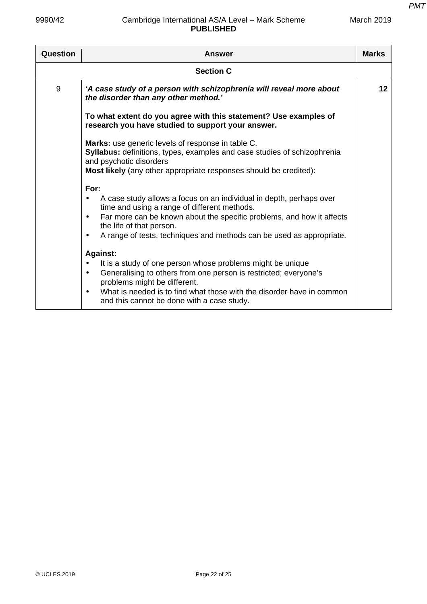| Question | <b>Answer</b>                                                                                                                                                                                                                                                                                                                                                                                                                                                                                                                                                                                                                                                                                      | <b>Marks</b> |
|----------|----------------------------------------------------------------------------------------------------------------------------------------------------------------------------------------------------------------------------------------------------------------------------------------------------------------------------------------------------------------------------------------------------------------------------------------------------------------------------------------------------------------------------------------------------------------------------------------------------------------------------------------------------------------------------------------------------|--------------|
|          | <b>Section C</b>                                                                                                                                                                                                                                                                                                                                                                                                                                                                                                                                                                                                                                                                                   |              |
| 9        | 'A case study of a person with schizophrenia will reveal more about<br>the disorder than any other method.'                                                                                                                                                                                                                                                                                                                                                                                                                                                                                                                                                                                        | 12           |
|          | To what extent do you agree with this statement? Use examples of<br>research you have studied to support your answer.                                                                                                                                                                                                                                                                                                                                                                                                                                                                                                                                                                              |              |
|          | Marks: use generic levels of response in table C.<br><b>Syllabus:</b> definitions, types, examples and case studies of schizophrenia<br>and psychotic disorders<br>Most likely (any other appropriate responses should be credited):                                                                                                                                                                                                                                                                                                                                                                                                                                                               |              |
|          | For:<br>A case study allows a focus on an individual in depth, perhaps over<br>$\bullet$<br>time and using a range of different methods.<br>Far more can be known about the specific problems, and how it affects<br>$\bullet$<br>the life of that person.<br>A range of tests, techniques and methods can be used as appropriate.<br>$\bullet$<br><b>Against:</b><br>It is a study of one person whose problems might be unique<br>$\bullet$<br>Generalising to others from one person is restricted; everyone's<br>$\bullet$<br>problems might be different.<br>What is needed is to find what those with the disorder have in common<br>$\bullet$<br>and this cannot be done with a case study. |              |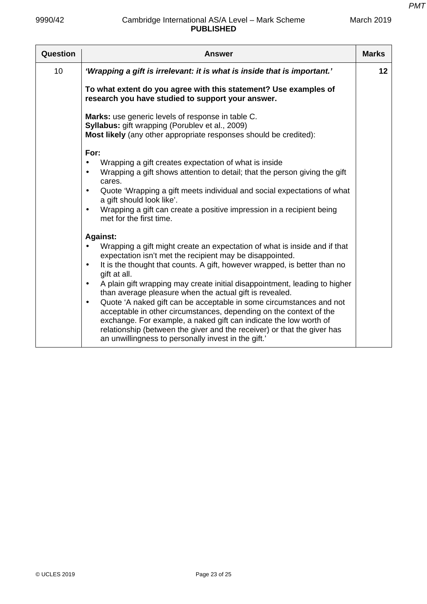| Question | <b>Answer</b>                                                                                                                                                                                                                                                                                                                                                                                                                                                                                                                                                                                                                                                                                                                                                                             | <b>Marks</b> |
|----------|-------------------------------------------------------------------------------------------------------------------------------------------------------------------------------------------------------------------------------------------------------------------------------------------------------------------------------------------------------------------------------------------------------------------------------------------------------------------------------------------------------------------------------------------------------------------------------------------------------------------------------------------------------------------------------------------------------------------------------------------------------------------------------------------|--------------|
| 10       | 'Wrapping a gift is irrelevant: it is what is inside that is important.'                                                                                                                                                                                                                                                                                                                                                                                                                                                                                                                                                                                                                                                                                                                  | 12           |
|          | To what extent do you agree with this statement? Use examples of<br>research you have studied to support your answer.                                                                                                                                                                                                                                                                                                                                                                                                                                                                                                                                                                                                                                                                     |              |
|          | Marks: use generic levels of response in table C.<br><b>Syllabus:</b> gift wrapping (Porublev et al., 2009)<br>Most likely (any other appropriate responses should be credited):                                                                                                                                                                                                                                                                                                                                                                                                                                                                                                                                                                                                          |              |
|          | For:<br>Wrapping a gift creates expectation of what is inside<br>Wrapping a gift shows attention to detail; that the person giving the gift<br>cares.<br>Quote 'Wrapping a gift meets individual and social expectations of what<br>a gift should look like'.<br>Wrapping a gift can create a positive impression in a recipient being<br>$\bullet$<br>met for the first time.                                                                                                                                                                                                                                                                                                                                                                                                            |              |
|          | <b>Against:</b><br>Wrapping a gift might create an expectation of what is inside and if that<br>expectation isn't met the recipient may be disappointed.<br>It is the thought that counts. A gift, however wrapped, is better than no<br>$\bullet$<br>gift at all.<br>A plain gift wrapping may create initial disappointment, leading to higher<br>$\bullet$<br>than average pleasure when the actual gift is revealed.<br>Quote 'A naked gift can be acceptable in some circumstances and not<br>$\bullet$<br>acceptable in other circumstances, depending on the context of the<br>exchange. For example, a naked gift can indicate the low worth of<br>relationship (between the giver and the receiver) or that the giver has<br>an unwillingness to personally invest in the gift.' |              |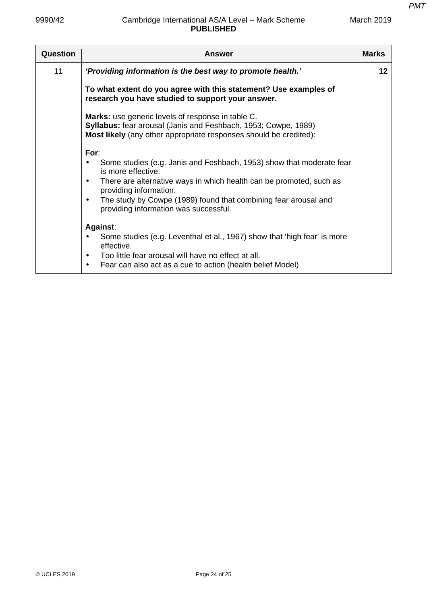| Question | <b>Answer</b>                                                                                                                                                                                                                                                                                                                     | <b>Marks</b> |
|----------|-----------------------------------------------------------------------------------------------------------------------------------------------------------------------------------------------------------------------------------------------------------------------------------------------------------------------------------|--------------|
| 11       | 'Providing information is the best way to promote health.'                                                                                                                                                                                                                                                                        | $12 \,$      |
|          | To what extent do you agree with this statement? Use examples of<br>research you have studied to support your answer.                                                                                                                                                                                                             |              |
|          | Marks: use generic levels of response in table C.<br>Syllabus: fear arousal (Janis and Feshbach, 1953; Cowpe, 1989)<br>Most likely (any other appropriate responses should be credited):                                                                                                                                          |              |
|          | For:<br>Some studies (e.g. Janis and Feshbach, 1953) show that moderate fear<br>is more effective.<br>There are alternative ways in which health can be promoted, such as<br>$\bullet$<br>providing information.<br>The study by Cowpe (1989) found that combining fear arousal and<br>٠<br>providing information was successful. |              |
|          | Against:<br>Some studies (e.g. Leventhal et al., 1967) show that 'high fear' is more<br>٠<br>effective.<br>Too little fear arousal will have no effect at all.<br>$\bullet$<br>Fear can also act as a cue to action (health belief Model)<br>٠                                                                                    |              |